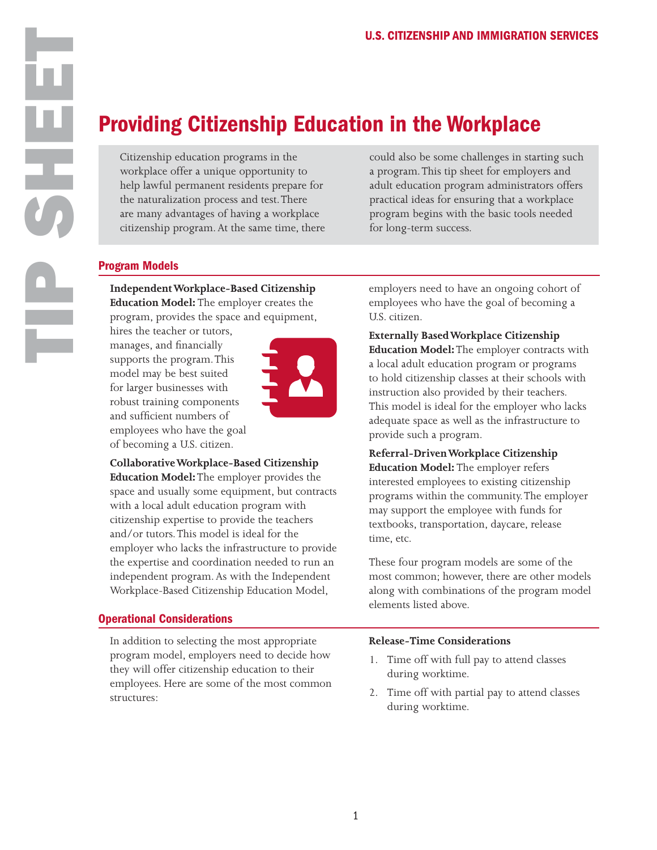# Providing Citizenship Education in the Workplace

Citizenship education programs in the workplace offer a unique opportunity to help lawful permanent residents prepare for the naturalization process and test. There are many advantages of having a workplace citizenship program. At the same time, there could also be some challenges in starting such a program. This tip sheet for employers and adult education program administrators offers practical ideas for ensuring that a workplace program begins with the basic tools needed for long-term success.

## Program Models

**Independent Workplace-Based Citizenship Education Model:** The employer creates the program, provides the space and equipment,

hires the teacher or tutors, manages, and financially supports the program. This model may be best suited for larger businesses with robust training components and sufficient numbers of employees who have the goal of becoming a U.S. citizen.



**Collaborative Workplace-Based Citizenship Education Model:** The employer provides the space and usually some equipment, but contracts with a local adult education program with citizenship expertise to provide the teachers and/or tutors. This model is ideal for the employer who lacks the infrastructure to provide the expertise and coordination needed to run an independent program. As with the Independent Workplace-Based Citizenship Education Model,

## Operational Considerations

In addition to selecting the most appropriate program model, employers need to decide how they will offer citizenship education to their employees. Here are some of the most common structures:

employers need to have an ongoing cohort of employees who have the goal of becoming a U.S. citizen.

**Externally Based Workplace Citizenship Education Model:** The employer contracts with a local adult education program or programs to hold citizenship classes at their schools with instruction also provided by their teachers. This model is ideal for the employer who lacks adequate space as well as the infrastructure to provide such a program.

**Referral-Driven Workplace Citizenship Education Model:** The employer refers interested employees to existing citizenship programs within the community. The employer may support the employee with funds for textbooks, transportation, daycare, release time, etc.

These four program models are some of the most common; however, there are other models along with combinations of the program model elements listed above.

## **Release-Time Considerations**

- 1. Time off with full pay to attend classes during worktime.
- 2. Time off with partial pay to attend classes during worktime.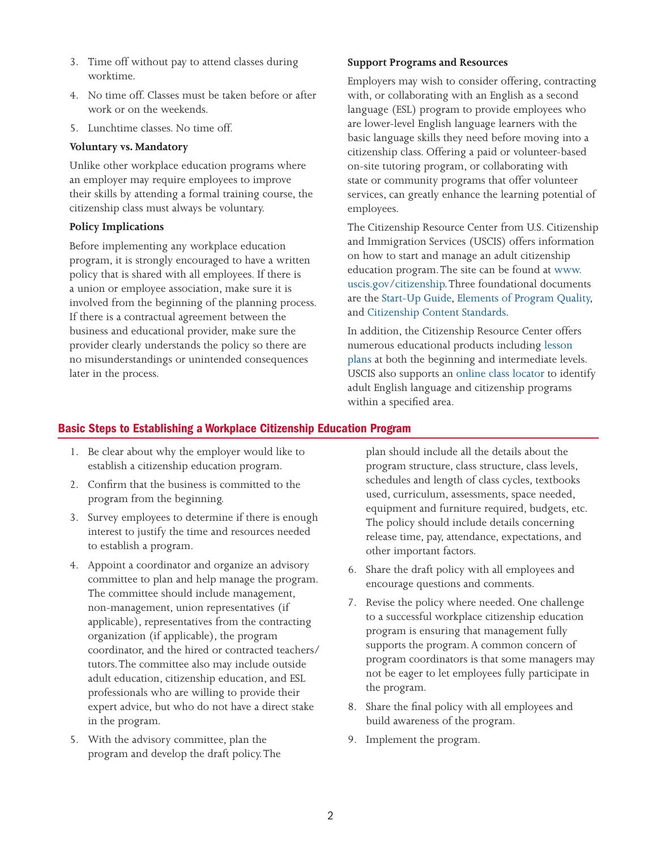- 3. Time off without pay to attend classes during worktime.
- 4. No time off. Classes must be taken before or after work or on the weekends.
- 5. Lunchtime classes. No time off.

#### **Voluntary vs. Mandatory**

Unlike other workplace education programs where an employer may require employees to improve their skills by attending a formal training course, the citizenship class must always be voluntary.

#### **Policy Implications**

Before implementing any workplace education program, it is strongly encouraged to have a written policy that is shared with all employees. If there is a union or employee association, make sure it is involved from the beginning of the planning process. If there is a contractual agreement between the business and educational provider, make sure the provider clearly understands the policy so there are no misunderstandings or unintended consequences later in the process.

#### **Support Programs and Resources**

Employers may wish to consider offering, contracting with, or collaborating with an English as a second language (ESL) program to provide employees who are lower-level English language learners with the basic language skills they need before moving into a citizenship class. Offering a paid or volunteer-based on-site tutoring program, or collaborating with state or community programs that offer volunteer services, can greatly enhance the learning potential of employees.

The Citizenship Resource Center from U.S. Citizenship and Immigration Services (USCIS) offers information on how to start and manage an adult citizenship education program. The site can be found at [www.](http://www.uscis.gov/citizenship) [uscis.gov/citizenship](http://www.uscis.gov/citizenship). Three foundational documents are the [Start-Up Guide,](https://www.uscis.gov/sites/default/files/USCIS/Office%20of%20Citizenship/Citizenship%20Resource%20Center%20Site/Publications/PDFs/M-677.pdf) [Elements of Program Quality,](https://www.uscis.gov/sites/default/files/USCIS/Office%20of%20Citizenship/Citizenship%20Resource%20Center%20Site/Publications/PDFs/elements_of_program_quality.pdf)  and [Citizenship Content Standards.](https://www.uscis.gov/sites/default/files/USCIS/Office%20of%20Citizenship/Citizenship%20Resource%20Center%20Site/Publications/M-1121.pdf) 

In addition, the Citizenship Resource Center offers numerous educational products including [lesson](http://www.uscis.gov/lessons)  [plans](http://www.uscis.gov/lessons) at both the beginning and intermediate levels. USCIS also supports an [online class locator](https://literacydirectory.org/%20) to identify adult English language and citizenship programs within a specified area.

## Basic Steps to Establishing a Workplace Citizenship Education Program

- 1. Be clear about why the employer would like to establish a citizenship education program.
- 2. Confirm that the business is committed to the program from the beginning.
- 3. Survey employees to determine if there is enough interest to justify the time and resources needed to establish a program.
- 4. Appoint a coordinator and organize an advisory committee to plan and help manage the program. The committee should include management, non-management, union representatives (if applicable), representatives from the contracting organization (if applicable), the program coordinator, and the hired or contracted teachers/ tutors. The committee also may include outside adult education, citizenship education, and ESL professionals who are willing to provide their expert advice, but who do not have a direct stake in the program.
- 5. With the advisory committee, plan the program and develop the draft policy. The

plan should include all the details about the program structure, class structure, class levels, schedules and length of class cycles, textbooks used, curriculum, assessments, space needed, equipment and furniture required, budgets, etc. The policy should include details concerning release time, pay, attendance, expectations, and other important factors.

- 6. Share the draft policy with all employees and encourage questions and comments.
- 7. Revise the policy where needed. One challenge to a successful workplace citizenship education program is ensuring that management fully supports the program. A common concern of program coordinators is that some managers may not be eager to let employees fully participate in the program.
- 8. Share the final policy with all employees and build awareness of the program.
- 9. Implement the program.